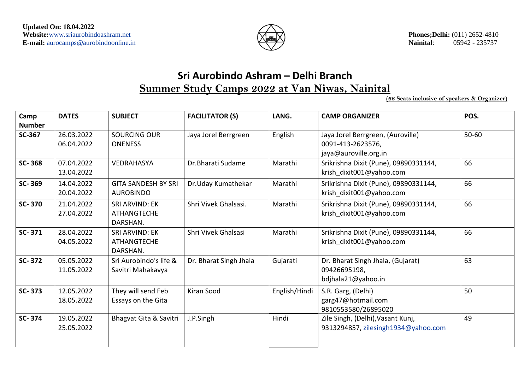

# **Sri Aurobindo Ashram – Delhi Branch Summer Study Camps 2022 at Van Niwas, Nainital**

**(66 Seats inclusive of speakers & Organizer)**

| Camp<br><b>Number</b> | <b>DATES</b><br><b>SUBJECT</b> |                                                         | <b>FACILITATOR (S)</b> | LANG.         | <b>CAMP ORGANIZER</b>                                                           | POS.      |  |  |
|-----------------------|--------------------------------|---------------------------------------------------------|------------------------|---------------|---------------------------------------------------------------------------------|-----------|--|--|
| <b>SC-367</b>         | 26.03.2022<br>06.04.2022       | <b>SOURCING OUR</b><br><b>ONENESS</b>                   | Jaya Jorel Berrgreen   | English       | Jaya Jorel Berrgreen, (Auroville)<br>0091-413-2623576,<br>jaya@auroville.org.in | $50 - 60$ |  |  |
| SC-368                | 07.04.2022<br>13.04.2022       | <b>VEDRAHASYA</b>                                       | Dr. Bharati Sudame     | Marathi       | Srikrishna Dixit (Pune), 09890331144,<br>krish dixit001@yahoo.com               | 66        |  |  |
| SC-369                | 14.04.2022<br>20.04.2022       | <b>GITA SANDESH BY SRI</b><br><b>AUROBINDO</b>          | Dr.Uday Kumathekar     | Marathi       | Srikrishna Dixit (Pune), 09890331144,<br>krish dixit001@yahoo.com               | 66        |  |  |
| SC-370                | 21.04.2022<br>27.04.2022       | SRI ARVIND: EK<br><b>ATHANGTECHE</b><br>DARSHAN.        | Shri Vivek Ghalsasi.   | Marathi       | Srikrishna Dixit (Pune), 09890331144,<br>krish dixit001@yahoo.com               | 66        |  |  |
| SC-371                | 28.04.2022<br>04.05.2022       | <b>SRI ARVIND: EK</b><br><b>ATHANGTECHE</b><br>DARSHAN. | Shri Vivek Ghalsasi    | Marathi       | Srikrishna Dixit (Pune), 09890331144,<br>krish dixit001@yahoo.com               | 66        |  |  |
| <b>SC-372</b>         | 05.05.2022<br>11.05.2022       | Sri Aurobindo's life &<br>Savitri Mahakavya             | Dr. Bharat Singh Jhala | Gujarati      | Dr. Bharat Singh Jhala, (Gujarat)<br>09426695198,<br>bdjhala21@yahoo.in         | 63        |  |  |
| SC-373                | 12.05.2022<br>18.05.2022       | They will send Feb<br>Essays on the Gita                | Kiran Sood             | English/Hindi | S.R. Garg, (Delhi)<br>garg47@hotmail.com<br>9810553580/26895020                 | 50        |  |  |
| SC-374                | 19.05.2022<br>25.05.2022       | Bhagvat Gita & Savitri                                  | J.P.Singh              | Hindi         | Zile Singh, (Delhi), Vasant Kunj,<br>9313294857, zilesingh1934@yahoo.com        | 49        |  |  |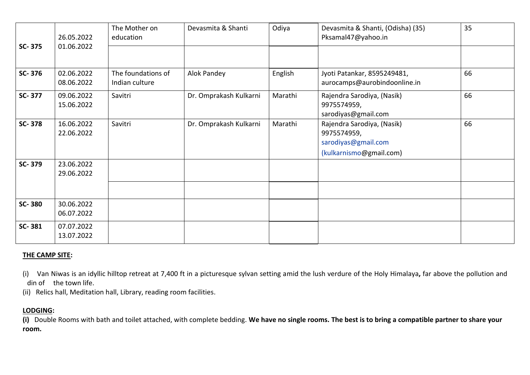| SC-375        | 26.05.2022<br>01.06.2022 | The Mother on<br>education           | Devasmita & Shanti     | Odiya   | Devasmita & Shanti, (Odisha) (35)<br>Pksamal47@yahoo.in                                     | 35 |
|---------------|--------------------------|--------------------------------------|------------------------|---------|---------------------------------------------------------------------------------------------|----|
| SC-376        | 02.06.2022<br>08.06.2022 | The foundations of<br>Indian culture | Alok Pandey            | English | Jyoti Patankar, 8595249481,<br>aurocamps@aurobindoonline.in                                 | 66 |
| SC-377        | 09.06.2022<br>15.06.2022 | Savitri                              | Dr. Omprakash Kulkarni | Marathi | Rajendra Sarodiya, (Nasik)<br>9975574959,<br>sarodiyas@gmail.com                            | 66 |
| <b>SC-378</b> | 16.06.2022<br>22.06.2022 | Savitri                              | Dr. Omprakash Kulkarni | Marathi | Rajendra Sarodiya, (Nasik)<br>9975574959,<br>sarodiyas@gmail.com<br>(kulkarnismo@gmail.com) | 66 |
| SC-379        | 23.06.2022<br>29.06.2022 |                                      |                        |         |                                                                                             |    |
| SC-380        | 30.06.2022<br>06.07.2022 |                                      |                        |         |                                                                                             |    |
| SC-381        | 07.07.2022<br>13.07.2022 |                                      |                        |         |                                                                                             |    |

#### **THE CAMP SITE:**

(i) Van Niwas is an idyllic hilltop retreat at 7,400 ft in a picturesque sylvan setting amid the lush verdure of the Holy Himalaya**,** far above the pollution and din of the town life.

(ii) Relics hall, Meditation hall, Library, reading room facilities.

#### **LODGING:**

**(i)** Double Rooms with bath and toilet attached, with complete bedding. **We have no single rooms. The best is to bring a compatible partner to share your room.**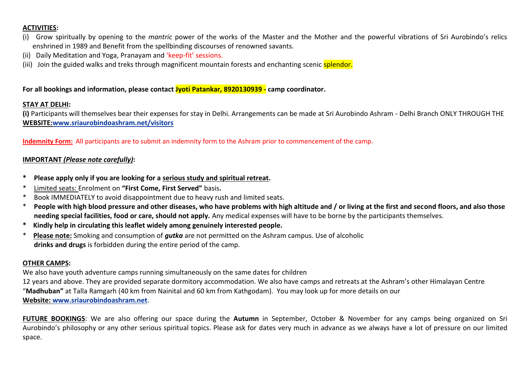#### **ACTIVITIES:**

- (i) Grow spiritually by opening to the *mantric* power of the works of the Master and the Mother and the powerful vibrations of Sri Aurobindo's relics enshrined in 1989 and Benefit from the spellbinding discourses of renowned savants.
- (ii) Daily Meditation and Yoga, Pranayam and 'keep-fit' sessions.
- (iii) Join the guided walks and treks through magnificent mountain forests and enchanting scenic splendor.

**For all bookings and information, please contact Jyoti Patankar, 8920130939 - camp coordinator.**

#### **STAY AT DELHI:**

**(i)** Participants will themselves bear their expenses for stay in Delhi. Arrangements can be made at Sri Aurobindo Ashram - Delhi Branch ONLY THROUGH THE **WEBSITE[:www.sriaurobindoashram.net/visitors](http://www.sriaurobindoashram.net/visitors)**

**Indemnity Form:** All participants are to submit an indemnity form to the Ashram prior to commencement of the camp.

#### **IMPORTANT** *(Please note carefully)***:**

- **\* Please apply only if you are looking for a serious study and spiritual retreat.**
- \* Limited seats: Enrolment on **"First Come, First Served"** basis**.**
- Book IMMEDIATELY to avoid disappointment due to heavy rush and limited seats.
- \* **People with high blood pressure and other diseases, who have problems with high altitude and / or living at the first and second floors, and also those needing special facilities, food or care, should not apply.** Any medical expenses will have to be borne by the participants themselves.
- **\* Kindly help in circulating this leaflet widely among genuinely interested people.**
- \* **Please note:** Smoking and consumption of *gutka* are not permitted on the Ashram campus. Use of alcoholic **drinks and drugs** is forbidden during the entire period of the camp.

#### **OTHER CAMPS:**

We also have youth adventure camps running simultaneously on the same dates for children 12 years and above. They are provided separate dormitory accommodation. We also have camps and retreats at the Ashram's other Himalayan Centre "**Madhuban"** at Talla Ramgarh (40 km from Nainital and 60 km from Kathgodam). You may look up for more details on our **Website: [www.sriaurobindoashram.net](http://www.sriaurobindoashram.net/)**.

**FUTURE BOOKINGS**: We are also offering our space during the **Autumn** in September, October & November for any camps being organized on Sri Aurobindo's philosophy or any other serious spiritual topics. Please ask for dates very much in advance as we always have a lot of pressure on our limited space.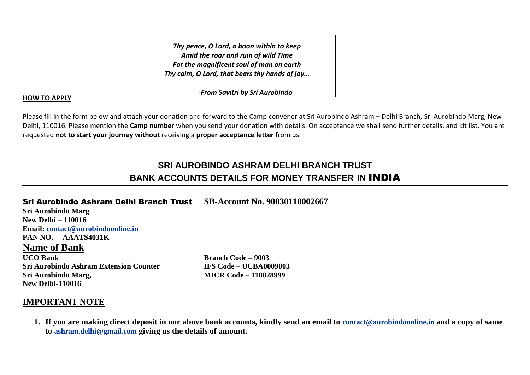*Thy peace, O Lord, a boon within to keep Amid the roar and ruin of wild Time For the magnificent soul of man on earth Thy calm, O Lord, that bears thy hands of joy…*

 *-From Savitri by Sri Aurobindo*

#### **HOW TO APPLY**

Please fill in the form below and attach your donation and forward to the Camp convener at Sri Aurobindo Ashram – Delhi Branch, Sri Aurobindo Marg, New Delhi, 110016. Please mention the **Camp number** when you send your donation with details. On acceptance we shall send further details, and kit list. You are requested **not to start your journey without** receiving a **proper acceptance letter** from us.

## **SRI AUROBINDO ASHRAM DELHI BRANCH TRUST BANK ACCOUNTS DETAILS FOR MONEY TRANSFER IN** INDIA

Sri Aurobindo Ashram Delhi Branch Trust **SB-Account No. 90030110002667**

**Sri Aurobindo Marg New Delhi – 110016 Email: [contact@aurobindoonline.in](mailto:contact@aurobindoonline.in) PAN NO. AAATS4031K**

#### **Name of Bank**

**UCO Bank Branch Code – 9003 Sri Aurobindo Ashram Extension Counter IFS Code – UCBA0009003 Sri Aurobindo Marg, MICR Code – 110028999 New Delhi-110016**

### **IMPORTANT NOTE**

**1. If you are making direct deposit in our above bank accounts, kindly send an email to [contact@aurobindoonline.in](mailto:contact@aurobindoonline.in) and a copy of same to ashram.delhi@gmail.com giving us the details of amount.**